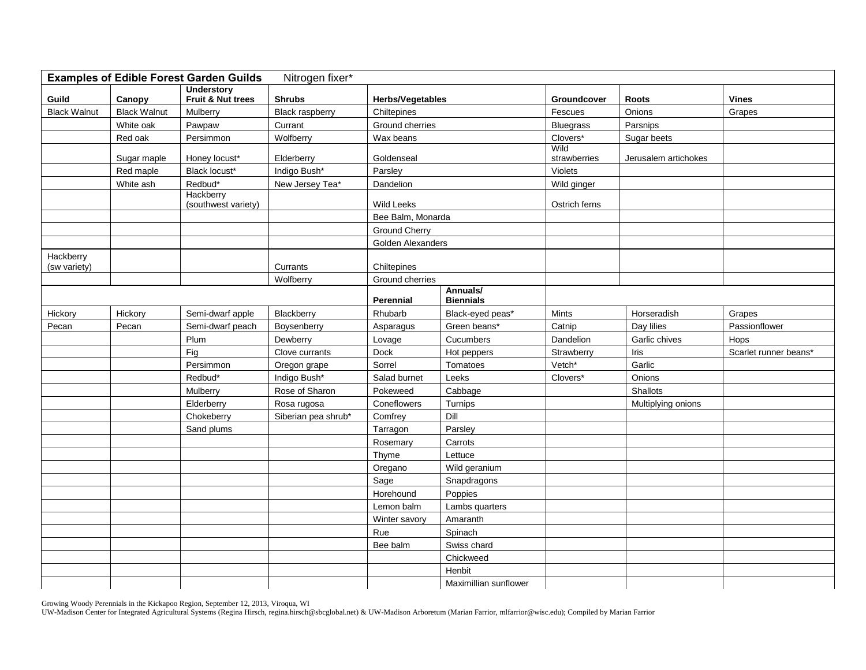| Nitrogen fixer*<br><b>Examples of Edible Forest Garden Guilds</b> |                     |                     |                        |                         |                       |                  |                      |                       |  |  |  |
|-------------------------------------------------------------------|---------------------|---------------------|------------------------|-------------------------|-----------------------|------------------|----------------------|-----------------------|--|--|--|
|                                                                   |                     | <b>Understory</b>   |                        |                         |                       |                  |                      |                       |  |  |  |
| Guild                                                             | Canopy              | Fruit & Nut trees   | <b>Shrubs</b>          | <b>Herbs/Vegetables</b> |                       | Groundcover      | <b>Roots</b>         | <b>Vines</b>          |  |  |  |
| <b>Black Walnut</b>                                               | <b>Black Walnut</b> | Mulberry            | <b>Black raspberry</b> | Chiltepines             |                       | Fescues          | Onions               | Grapes                |  |  |  |
|                                                                   | White oak           | Pawpaw              | Currant                | Ground cherries         |                       | <b>Bluegrass</b> | Parsnips             |                       |  |  |  |
|                                                                   | Red oak             | Persimmon           | Wolfberry              | Wax beans               |                       | Clovers*<br>Wild | Sugar beets          |                       |  |  |  |
|                                                                   | Sugar maple         | Honey locust*       | Elderberry             | Goldenseal              |                       | strawberries     | Jerusalem artichokes |                       |  |  |  |
|                                                                   | Red maple           | Black locust*       | Indigo Bush*           | Parsley                 |                       | Violets          |                      |                       |  |  |  |
|                                                                   | White ash           | Redbud*             | New Jersey Tea*        | Dandelion               |                       | Wild ginger      |                      |                       |  |  |  |
|                                                                   |                     | Hackberry           |                        |                         |                       |                  |                      |                       |  |  |  |
|                                                                   |                     | (southwest variety) |                        | <b>Wild Leeks</b>       |                       | Ostrich ferns    |                      |                       |  |  |  |
|                                                                   |                     |                     |                        | Bee Balm, Monarda       |                       |                  |                      |                       |  |  |  |
|                                                                   |                     |                     |                        | <b>Ground Cherry</b>    |                       |                  |                      |                       |  |  |  |
|                                                                   |                     |                     |                        | Golden Alexanders       |                       |                  |                      |                       |  |  |  |
| Hackberry<br>(sw variety)                                         |                     |                     | Currants               | Chiltepines             |                       |                  |                      |                       |  |  |  |
|                                                                   |                     |                     | Wolfberry              | Ground cherries         |                       |                  |                      |                       |  |  |  |
|                                                                   |                     |                     |                        | Annuals/                |                       |                  |                      |                       |  |  |  |
|                                                                   |                     |                     |                        | <b>Perennial</b>        | <b>Biennials</b>      |                  |                      |                       |  |  |  |
| Hickory                                                           | Hickory             | Semi-dwarf apple    | Blackberry             | Rhubarb                 | Black-eyed peas*      | Mints            | Horseradish          | Grapes                |  |  |  |
| Pecan                                                             | Pecan               | Semi-dwarf peach    | Boysenberry            | Asparagus               | Green beans*          | Catnip           | Day lilies           | Passionflower         |  |  |  |
|                                                                   |                     | Plum                | Dewberry               | Lovage                  | Cucumbers             | Dandelion        | Garlic chives        | Hops                  |  |  |  |
|                                                                   |                     | Fig                 | Clove currants         | Dock                    | Hot peppers           | Strawberry       | Iris                 | Scarlet runner beans* |  |  |  |
|                                                                   |                     | Persimmon           | Oregon grape           | Sorrel                  | Tomatoes              | Vetch*           | Garlic               |                       |  |  |  |
|                                                                   |                     | Redbud*             | Indigo Bush*           | Salad burnet            | Leeks                 | Clovers*         | Onions               |                       |  |  |  |
|                                                                   |                     | Mulberry            | Rose of Sharon         | Pokeweed                | Cabbage               |                  | Shallots             |                       |  |  |  |
|                                                                   |                     | Elderberry          | Rosa rugosa            | Coneflowers             | Turnips               |                  | Multiplying onions   |                       |  |  |  |
|                                                                   |                     | Chokeberry          | Siberian pea shrub*    | Comfrey                 | Dill                  |                  |                      |                       |  |  |  |
|                                                                   |                     | Sand plums          |                        | Tarragon                | Parsley               |                  |                      |                       |  |  |  |
|                                                                   |                     |                     |                        | Rosemary                | Carrots               |                  |                      |                       |  |  |  |
|                                                                   |                     |                     |                        | Thyme                   | Lettuce               |                  |                      |                       |  |  |  |
|                                                                   |                     |                     |                        | Oregano                 | Wild geranium         |                  |                      |                       |  |  |  |
|                                                                   |                     |                     |                        | Sage                    | Snapdragons           |                  |                      |                       |  |  |  |
|                                                                   |                     |                     |                        | Horehound               | Poppies               |                  |                      |                       |  |  |  |
|                                                                   |                     |                     |                        | Lemon balm              | Lambs quarters        |                  |                      |                       |  |  |  |
|                                                                   |                     |                     |                        | Winter savory           | Amaranth              |                  |                      |                       |  |  |  |
|                                                                   |                     |                     |                        | Rue                     | Spinach               |                  |                      |                       |  |  |  |
|                                                                   |                     |                     |                        | Bee balm                | Swiss chard           |                  |                      |                       |  |  |  |
|                                                                   |                     |                     |                        |                         | Chickweed             |                  |                      |                       |  |  |  |
|                                                                   |                     |                     |                        |                         | Henbit                |                  |                      |                       |  |  |  |
|                                                                   |                     |                     |                        |                         | Maximillian sunflower |                  |                      |                       |  |  |  |

Growing Woody Perennials in the Kickapoo Region, September 12, 2013, Viroqua, WI

UW-Madison Center for Integrated Agricultural Systems (Regina Hirsch, regina.hirsch@sbcglobal.net) & UW-Madison Arboretum (Marian Farrior, mlfarrior@wisc.edu); Compiled by Marian Farrior